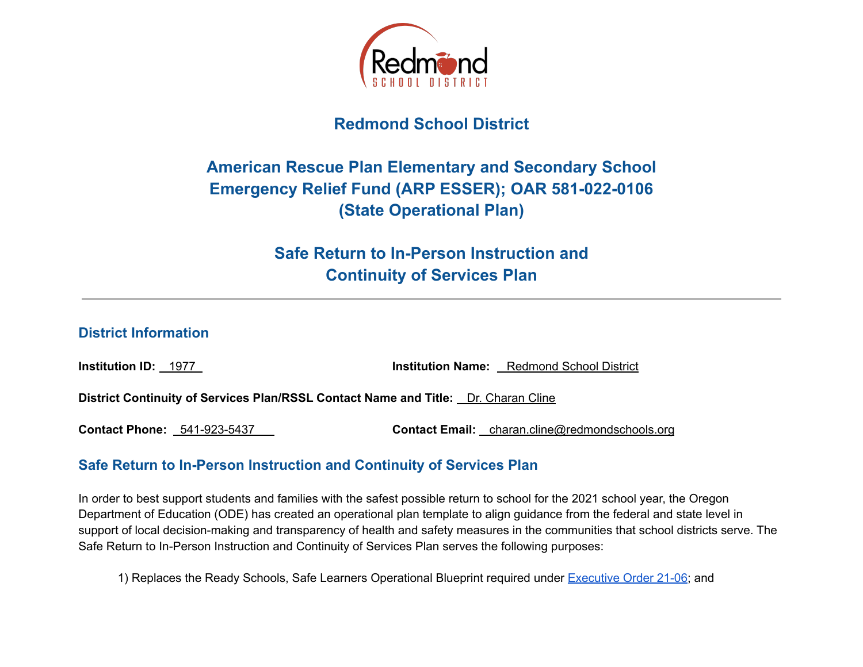

# **Redmond School District**

# **American Rescue Plan Elementary and Secondary School Emergency Relief Fund (ARP ESSER); OAR 581-022-0106 (State Operational Plan)**

**Safe Return to In-Person Instruction and Continuity of Services Plan**

#### **District Information**

**Institution ID:** 1977 **Institution Name:** Redmond School District

**District Continuity of Services Plan/RSSL Contact Name and Title:** Dr. Charan Cline

**Contact Phone:** 541-923-5437 **Contact Email:** charan.cline@redmondschools.org

## **Safe Return to In-Person Instruction and Continuity of Services Plan**

In order to best support students and families with the safest possible return to school for the 2021 school year, the Oregon Department of Education (ODE) has created an operational plan template to align guidance from the federal and state level in support of local decision-making and transparency of health and safety measures in the communities that school districts serve. The Safe Return to In-Person Instruction and Continuity of Services Plan serves the following purposes:

1) Replaces the Ready Schools, Safe Learners Operational Blueprint required under [Executive](https://www.oregon.gov/gov/Documents/executive_orders/eo_21-06.pdf) Order 21-06; and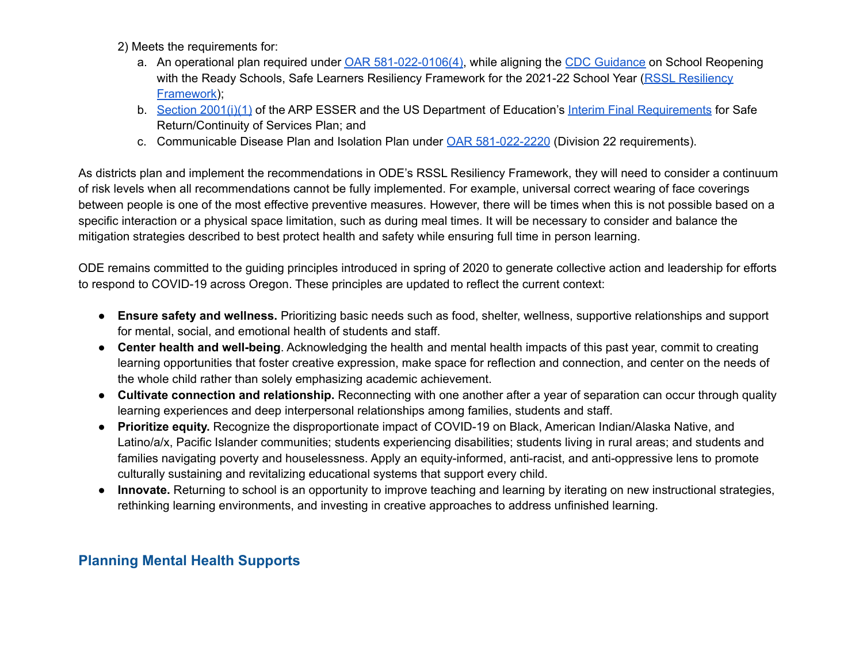2) Meets the requirements for:

- a. An operational plan required under OAR [581-022-0106\(4\)](https://secure.sos.state.or.us/oard/view.action?ruleNumber=581-022-0106), while aligning the CDC [Guidance](https://www.cdc.gov/coronavirus/2019-ncov/community/schools-childcare/k-12-guidance.html) on School Reopening with the Ready Schools, Safe Learners [Resiliency](https://www.oregon.gov/ode/students-and-family/healthsafety/Pages/RSSL-Guidance.aspx) Framework for the 2021-22 School Year (RSSL Resiliency [Framework\)](https://www.oregon.gov/ode/students-and-family/healthsafety/Pages/RSSL-Guidance.aspx);
- b. Section [2001\(i\)\(1\)](https://www.congress.gov/bill/117th-congress/house-bill/1319/text#H750E36BDE0EB41249B8BE928436D6048) of the ARP ESSER and the US Department of Education's Interim Final [Requirements](https://www.federalregister.gov/documents/2021/04/22/2021-08359/american-rescue-plan-act-elementary-and-secondary-school-emergency-relief-fund) for Safe Return/Continuity of Services Plan; and
- c. Communicable Disease Plan and Isolation Plan under OAR [581-022-2220](https://secure.sos.state.or.us/oard/view.action?ruleNumber=581-022-2220) (Division 22 requirements).

As districts plan and implement the recommendations in ODE's RSSL Resiliency Framework, they will need to consider a continuum of risk levels when all recommendations cannot be fully implemented. For example, universal correct wearing of face coverings between people is one of the most effective preventive measures. However, there will be times when this is not possible based on a specific interaction or a physical space limitation, such as during meal times. It will be necessary to consider and balance the mitigation strategies described to best protect health and safety while ensuring full time in person learning.

ODE remains committed to the guiding principles introduced in spring of 2020 to generate collective action and leadership for efforts to respond to COVID-19 across Oregon. These principles are updated to reflect the current context:

- **Ensure safety and wellness.** Prioritizing basic needs such as food, shelter, wellness, supportive relationships and support for mental, social, and emotional health of students and staff.
- **Center health and well-being**. Acknowledging the health and mental health impacts of this past year, commit to creating learning opportunities that foster creative expression, make space for reflection and connection, and center on the needs of the whole child rather than solely emphasizing academic achievement.
- **Cultivate connection and relationship.** Reconnecting with one another after a year of separation can occur through quality learning experiences and deep interpersonal relationships among families, students and staff.
- **Prioritize equity.** Recognize the disproportionate impact of COVID-19 on Black, American Indian/Alaska Native, and Latino/a/x, Pacific Islander communities; students experiencing disabilities; students living in rural areas; and students and families navigating poverty and houselessness. Apply an equity-informed, anti-racist, and anti-oppressive lens to promote culturally sustaining and revitalizing educational systems that support every child.
- **Innovate.** Returning to school is an opportunity to improve teaching and learning by iterating on new instructional strategies, rethinking learning environments, and investing in creative approaches to address unfinished learning.

# **Planning Mental Health Supports**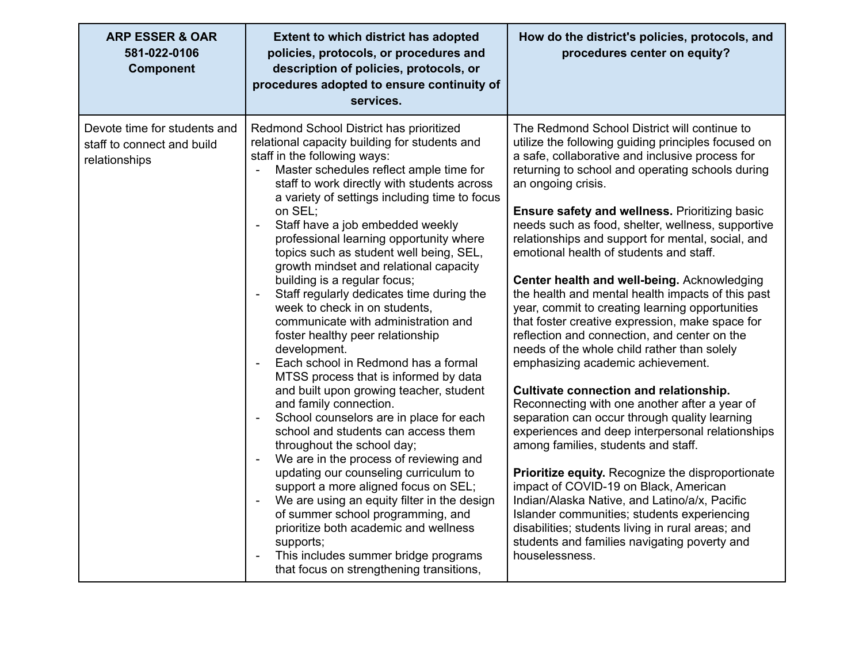| <b>ARP ESSER &amp; OAR</b><br>581-022-0106<br><b>Component</b>              | <b>Extent to which district has adopted</b><br>policies, protocols, or procedures and<br>description of policies, protocols, or<br>procedures adopted to ensure continuity of<br>services.                                                                                                                                                                                                                                                                                                                                                                                                                                                                                                                                                                                                                                                                                                                                                                                                                                                                                                                                                                                                                                                                                                                            | How do the district's policies, protocols, and<br>procedures center on equity?                                                                                                                                                                                                                                                                                                                                                                                                                                                                                                                                                                                                                                                                                                                                                                                                                                                                                                                                                                                                                                                                                                                                                                                                                                                                           |
|-----------------------------------------------------------------------------|-----------------------------------------------------------------------------------------------------------------------------------------------------------------------------------------------------------------------------------------------------------------------------------------------------------------------------------------------------------------------------------------------------------------------------------------------------------------------------------------------------------------------------------------------------------------------------------------------------------------------------------------------------------------------------------------------------------------------------------------------------------------------------------------------------------------------------------------------------------------------------------------------------------------------------------------------------------------------------------------------------------------------------------------------------------------------------------------------------------------------------------------------------------------------------------------------------------------------------------------------------------------------------------------------------------------------|----------------------------------------------------------------------------------------------------------------------------------------------------------------------------------------------------------------------------------------------------------------------------------------------------------------------------------------------------------------------------------------------------------------------------------------------------------------------------------------------------------------------------------------------------------------------------------------------------------------------------------------------------------------------------------------------------------------------------------------------------------------------------------------------------------------------------------------------------------------------------------------------------------------------------------------------------------------------------------------------------------------------------------------------------------------------------------------------------------------------------------------------------------------------------------------------------------------------------------------------------------------------------------------------------------------------------------------------------------|
| Devote time for students and<br>staff to connect and build<br>relationships | Redmond School District has prioritized<br>relational capacity building for students and<br>staff in the following ways:<br>Master schedules reflect ample time for<br>$\overline{\phantom{a}}$<br>staff to work directly with students across<br>a variety of settings including time to focus<br>on SEL;<br>Staff have a job embedded weekly<br>professional learning opportunity where<br>topics such as student well being, SEL,<br>growth mindset and relational capacity<br>building is a regular focus;<br>Staff regularly dedicates time during the<br>week to check in on students,<br>communicate with administration and<br>foster healthy peer relationship<br>development.<br>Each school in Redmond has a formal<br>MTSS process that is informed by data<br>and built upon growing teacher, student<br>and family connection.<br>School counselors are in place for each<br>school and students can access them<br>throughout the school day;<br>We are in the process of reviewing and<br>updating our counseling curriculum to<br>support a more aligned focus on SEL;<br>We are using an equity filter in the design<br>of summer school programming, and<br>prioritize both academic and wellness<br>supports;<br>This includes summer bridge programs<br>that focus on strengthening transitions, | The Redmond School District will continue to<br>utilize the following guiding principles focused on<br>a safe, collaborative and inclusive process for<br>returning to school and operating schools during<br>an ongoing crisis.<br><b>Ensure safety and wellness. Prioritizing basic</b><br>needs such as food, shelter, wellness, supportive<br>relationships and support for mental, social, and<br>emotional health of students and staff.<br>Center health and well-being. Acknowledging<br>the health and mental health impacts of this past<br>year, commit to creating learning opportunities<br>that foster creative expression, make space for<br>reflection and connection, and center on the<br>needs of the whole child rather than solely<br>emphasizing academic achievement.<br>Cultivate connection and relationship.<br>Reconnecting with one another after a year of<br>separation can occur through quality learning<br>experiences and deep interpersonal relationships<br>among families, students and staff.<br>Prioritize equity. Recognize the disproportionate<br>impact of COVID-19 on Black, American<br>Indian/Alaska Native, and Latino/a/x, Pacific<br>Islander communities; students experiencing<br>disabilities; students living in rural areas; and<br>students and families navigating poverty and<br>houselessness. |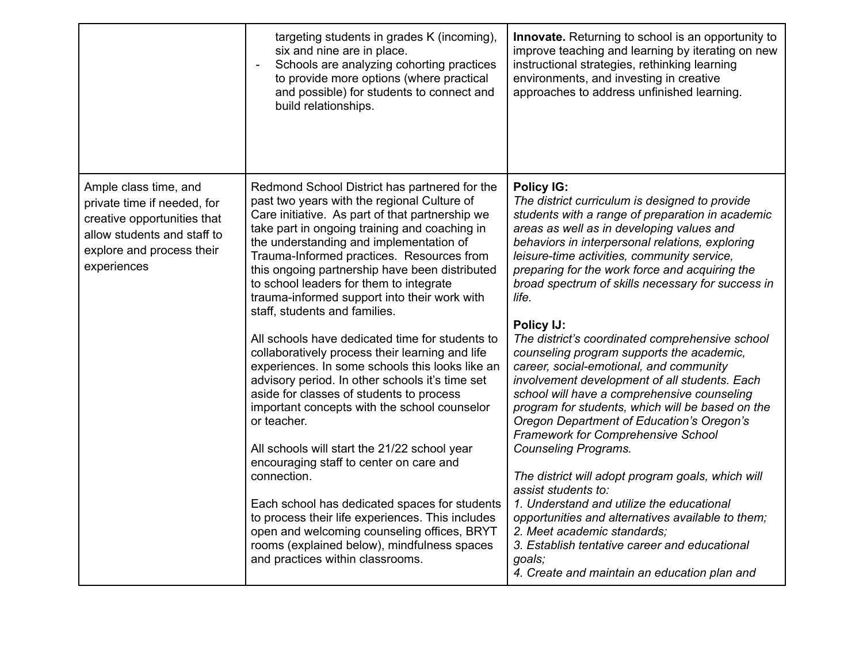|                                                                                                                                                                | targeting students in grades K (incoming),<br>six and nine are in place.<br>Schools are analyzing cohorting practices<br>to provide more options (where practical<br>and possible) for students to connect and<br>build relationships.                                                                                                                                                                                                                                                                                                                                                                                                                                                                                                                                                                                                                                                   | <b>Innovate.</b> Returning to school is an opportunity to<br>improve teaching and learning by iterating on new<br>instructional strategies, rethinking learning<br>environments, and investing in creative<br>approaches to address unfinished learning.                                                                                                                                                                                                                                                                                                                                                                                                                                                                                                                                                                     |
|----------------------------------------------------------------------------------------------------------------------------------------------------------------|------------------------------------------------------------------------------------------------------------------------------------------------------------------------------------------------------------------------------------------------------------------------------------------------------------------------------------------------------------------------------------------------------------------------------------------------------------------------------------------------------------------------------------------------------------------------------------------------------------------------------------------------------------------------------------------------------------------------------------------------------------------------------------------------------------------------------------------------------------------------------------------|------------------------------------------------------------------------------------------------------------------------------------------------------------------------------------------------------------------------------------------------------------------------------------------------------------------------------------------------------------------------------------------------------------------------------------------------------------------------------------------------------------------------------------------------------------------------------------------------------------------------------------------------------------------------------------------------------------------------------------------------------------------------------------------------------------------------------|
| Ample class time, and<br>private time if needed, for<br>creative opportunities that<br>allow students and staff to<br>explore and process their<br>experiences | Redmond School District has partnered for the<br>past two years with the regional Culture of<br>Care initiative. As part of that partnership we<br>take part in ongoing training and coaching in<br>the understanding and implementation of<br>Trauma-Informed practices. Resources from<br>this ongoing partnership have been distributed<br>to school leaders for them to integrate<br>trauma-informed support into their work with<br>staff, students and families.<br>All schools have dedicated time for students to<br>collaboratively process their learning and life<br>experiences. In some schools this looks like an<br>advisory period. In other schools it's time set<br>aside for classes of students to process<br>important concepts with the school counselor<br>or teacher.<br>All schools will start the 21/22 school year<br>encouraging staff to center on care and | <b>Policy IG:</b><br>The district curriculum is designed to provide<br>students with a range of preparation in academic<br>areas as well as in developing values and<br>behaviors in interpersonal relations, exploring<br>leisure-time activities, community service,<br>preparing for the work force and acquiring the<br>broad spectrum of skills necessary for success in<br>life.<br>Policy IJ:<br>The district's coordinated comprehensive school<br>counseling program supports the academic,<br>career, social-emotional, and community<br>involvement development of all students. Each<br>school will have a comprehensive counseling<br>program for students, which will be based on the<br>Oregon Department of Education's Oregon's<br><b>Framework for Comprehensive School</b><br><b>Counseling Programs.</b> |
|                                                                                                                                                                | connection.<br>Each school has dedicated spaces for students<br>to process their life experiences. This includes<br>open and welcoming counseling offices, BRYT<br>rooms (explained below), mindfulness spaces<br>and practices within classrooms.                                                                                                                                                                                                                                                                                                                                                                                                                                                                                                                                                                                                                                       | The district will adopt program goals, which will<br>assist students to:<br>1. Understand and utilize the educational<br>opportunities and alternatives available to them;<br>2. Meet academic standards;<br>3. Establish tentative career and educational<br>goals;<br>4. Create and maintain an education plan and                                                                                                                                                                                                                                                                                                                                                                                                                                                                                                         |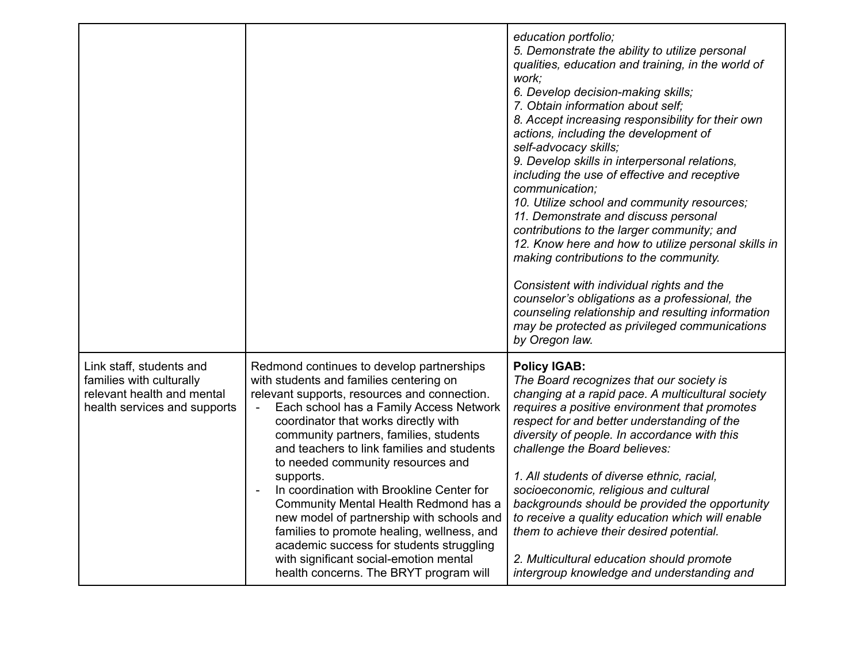|                                                                                                                    |                                                                                                                                                                                                                                                                                                                                                                                                                                                                                                                                                                                                                                                                                    | education portfolio;<br>5. Demonstrate the ability to utilize personal<br>qualities, education and training, in the world of<br>work;<br>6. Develop decision-making skills;<br>7. Obtain information about self;<br>8. Accept increasing responsibility for their own<br>actions, including the development of<br>self-advocacy skills;<br>9. Develop skills in interpersonal relations,<br>including the use of effective and receptive<br>communication;<br>10. Utilize school and community resources;<br>11. Demonstrate and discuss personal<br>contributions to the larger community; and<br>12. Know here and how to utilize personal skills in<br>making contributions to the community.<br>Consistent with individual rights and the<br>counselor's obligations as a professional, the<br>counseling relationship and resulting information<br>may be protected as privileged communications<br>by Oregon law. |
|--------------------------------------------------------------------------------------------------------------------|------------------------------------------------------------------------------------------------------------------------------------------------------------------------------------------------------------------------------------------------------------------------------------------------------------------------------------------------------------------------------------------------------------------------------------------------------------------------------------------------------------------------------------------------------------------------------------------------------------------------------------------------------------------------------------|-------------------------------------------------------------------------------------------------------------------------------------------------------------------------------------------------------------------------------------------------------------------------------------------------------------------------------------------------------------------------------------------------------------------------------------------------------------------------------------------------------------------------------------------------------------------------------------------------------------------------------------------------------------------------------------------------------------------------------------------------------------------------------------------------------------------------------------------------------------------------------------------------------------------------|
| Link staff, students and<br>families with culturally<br>relevant health and mental<br>health services and supports | Redmond continues to develop partnerships<br>with students and families centering on<br>relevant supports, resources and connection.<br>Each school has a Family Access Network<br>coordinator that works directly with<br>community partners, families, students<br>and teachers to link families and students<br>to needed community resources and<br>supports.<br>In coordination with Brookline Center for<br>Community Mental Health Redmond has a<br>new model of partnership with schools and<br>families to promote healing, wellness, and<br>academic success for students struggling<br>with significant social-emotion mental<br>health concerns. The BRYT program will | <b>Policy IGAB:</b><br>The Board recognizes that our society is<br>changing at a rapid pace. A multicultural society<br>requires a positive environment that promotes<br>respect for and better understanding of the<br>diversity of people. In accordance with this<br>challenge the Board believes:<br>1. All students of diverse ethnic, racial,<br>socioeconomic, religious and cultural<br>backgrounds should be provided the opportunity<br>to receive a quality education which will enable<br>them to achieve their desired potential.<br>2. Multicultural education should promote<br>intergroup knowledge and understanding and                                                                                                                                                                                                                                                                               |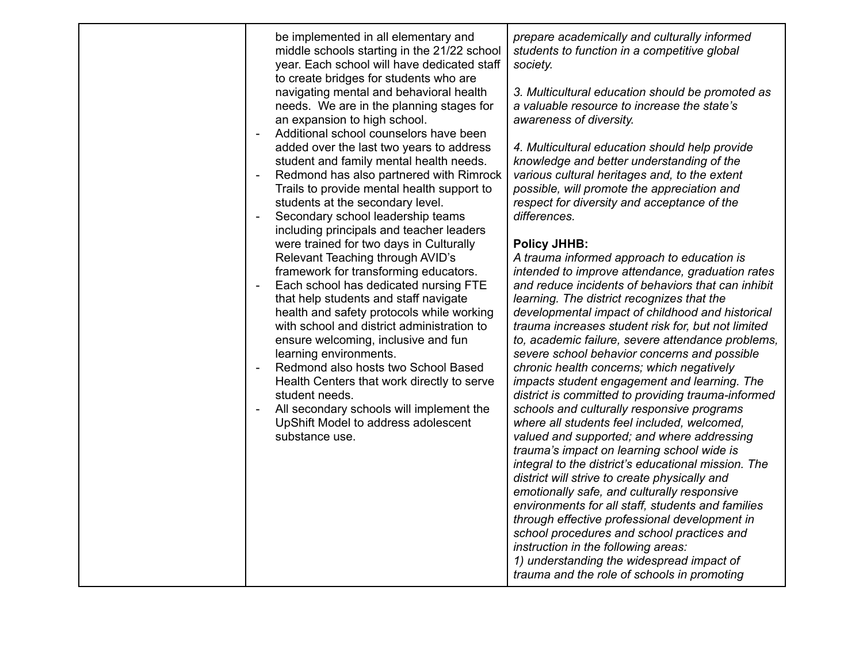| be implemented in all elementary and<br>middle schools starting in the 21/22 school<br>year. Each school will have dedicated staff<br>to create bridges for students who are<br>navigating mental and behavioral health<br>needs. We are in the planning stages for<br>an expansion to high school.<br>Additional school counselors have been<br>added over the last two years to address<br>student and family mental health needs.<br>Redmond has also partnered with Rimrock<br>Trails to provide mental health support to<br>students at the secondary level.<br>Secondary school leadership teams<br>including principals and teacher leaders<br>were trained for two days in Culturally<br>Relevant Teaching through AVID's<br>framework for transforming educators.<br>Each school has dedicated nursing FTE<br>that help students and staff navigate<br>health and safety protocols while working<br>with school and district administration to<br>ensure welcoming, inclusive and fun<br>learning environments.<br>Redmond also hosts two School Based<br>Health Centers that work directly to serve<br>student needs.<br>All secondary schools will implement the<br>UpShift Model to address adolescent<br>substance use. | prepare academically and culturally informed<br>students to function in a competitive global<br>society.<br>3. Multicultural education should be promoted as<br>a valuable resource to increase the state's<br>awareness of diversity.<br>4. Multicultural education should help provide<br>knowledge and better understanding of the<br>various cultural heritages and, to the extent<br>possible, will promote the appreciation and<br>respect for diversity and acceptance of the<br>differences.<br><b>Policy JHHB:</b><br>A trauma informed approach to education is<br>intended to improve attendance, graduation rates<br>and reduce incidents of behaviors that can inhibit<br>learning. The district recognizes that the<br>developmental impact of childhood and historical<br>trauma increases student risk for, but not limited<br>to, academic failure, severe attendance problems,<br>severe school behavior concerns and possible<br>chronic health concerns; which negatively<br>impacts student engagement and learning. The<br>district is committed to providing trauma-informed<br>schools and culturally responsive programs<br>where all students feel included, welcomed,<br>valued and supported; and where addressing<br>trauma's impact on learning school wide is<br>integral to the district's educational mission. The<br>district will strive to create physically and<br>emotionally safe, and culturally responsive<br>environments for all staff, students and families<br>through effective professional development in |
|--------------------------------------------------------------------------------------------------------------------------------------------------------------------------------------------------------------------------------------------------------------------------------------------------------------------------------------------------------------------------------------------------------------------------------------------------------------------------------------------------------------------------------------------------------------------------------------------------------------------------------------------------------------------------------------------------------------------------------------------------------------------------------------------------------------------------------------------------------------------------------------------------------------------------------------------------------------------------------------------------------------------------------------------------------------------------------------------------------------------------------------------------------------------------------------------------------------------------------------|-----------------------------------------------------------------------------------------------------------------------------------------------------------------------------------------------------------------------------------------------------------------------------------------------------------------------------------------------------------------------------------------------------------------------------------------------------------------------------------------------------------------------------------------------------------------------------------------------------------------------------------------------------------------------------------------------------------------------------------------------------------------------------------------------------------------------------------------------------------------------------------------------------------------------------------------------------------------------------------------------------------------------------------------------------------------------------------------------------------------------------------------------------------------------------------------------------------------------------------------------------------------------------------------------------------------------------------------------------------------------------------------------------------------------------------------------------------------------------------------------------------------------------------------------------------|
|                                                                                                                                                                                                                                                                                                                                                                                                                                                                                                                                                                                                                                                                                                                                                                                                                                                                                                                                                                                                                                                                                                                                                                                                                                      | school procedures and school practices and<br>instruction in the following areas:<br>1) understanding the widespread impact of<br>trauma and the role of schools in promoting                                                                                                                                                                                                                                                                                                                                                                                                                                                                                                                                                                                                                                                                                                                                                                                                                                                                                                                                                                                                                                                                                                                                                                                                                                                                                                                                                                             |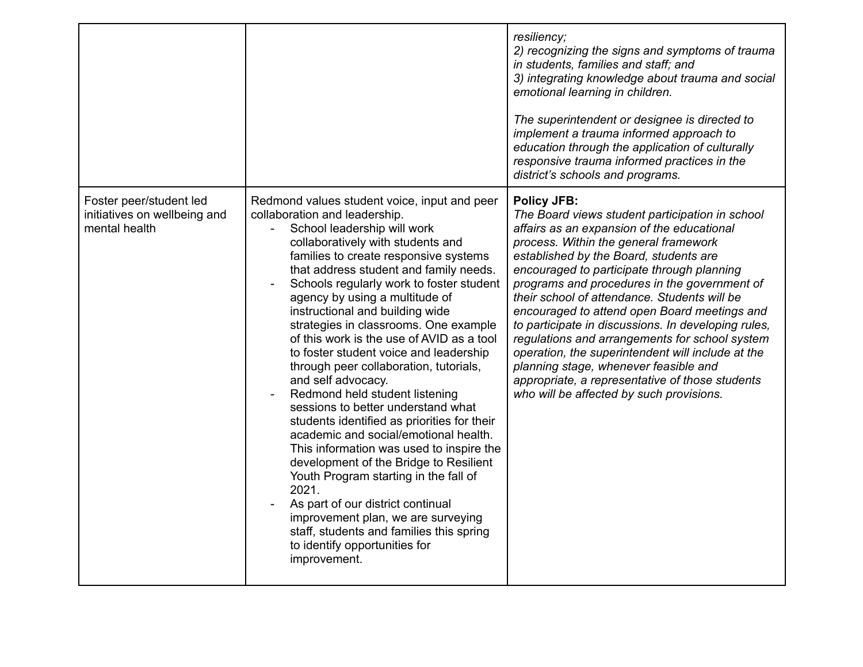|                                                                          |                                                                                                                                                                                                                                                                                                                                                                                                                                                                                                                                                                                                                                                                                                                                                                                                                                                                                                                                                                                                                                       | resiliency;<br>2) recognizing the signs and symptoms of trauma<br>in students, families and staff; and<br>3) integrating knowledge about trauma and social<br>emotional learning in children.<br>The superintendent or designee is directed to<br>implement a trauma informed approach to<br>education through the application of culturally<br>responsive trauma informed practices in the<br>district's schools and programs.                                                                                                                                                                                                                                                                            |
|--------------------------------------------------------------------------|---------------------------------------------------------------------------------------------------------------------------------------------------------------------------------------------------------------------------------------------------------------------------------------------------------------------------------------------------------------------------------------------------------------------------------------------------------------------------------------------------------------------------------------------------------------------------------------------------------------------------------------------------------------------------------------------------------------------------------------------------------------------------------------------------------------------------------------------------------------------------------------------------------------------------------------------------------------------------------------------------------------------------------------|------------------------------------------------------------------------------------------------------------------------------------------------------------------------------------------------------------------------------------------------------------------------------------------------------------------------------------------------------------------------------------------------------------------------------------------------------------------------------------------------------------------------------------------------------------------------------------------------------------------------------------------------------------------------------------------------------------|
| Foster peer/student led<br>initiatives on wellbeing and<br>mental health | Redmond values student voice, input and peer<br>collaboration and leadership.<br>School leadership will work<br>collaboratively with students and<br>families to create responsive systems<br>that address student and family needs.<br>Schools regularly work to foster student<br>agency by using a multitude of<br>instructional and building wide<br>strategies in classrooms. One example<br>of this work is the use of AVID as a tool<br>to foster student voice and leadership<br>through peer collaboration, tutorials,<br>and self advocacy.<br>Redmond held student listening<br>sessions to better understand what<br>students identified as priorities for their<br>academic and social/emotional health.<br>This information was used to inspire the<br>development of the Bridge to Resilient<br>Youth Program starting in the fall of<br>2021.<br>As part of our district continual<br>improvement plan, we are surveying<br>staff, students and families this spring<br>to identify opportunities for<br>improvement. | <b>Policy JFB:</b><br>The Board views student participation in school<br>affairs as an expansion of the educational<br>process. Within the general framework<br>established by the Board, students are<br>encouraged to participate through planning<br>programs and procedures in the government of<br>their school of attendance. Students will be<br>encouraged to attend open Board meetings and<br>to participate in discussions. In developing rules,<br>regulations and arrangements for school system<br>operation, the superintendent will include at the<br>planning stage, whenever feasible and<br>appropriate, a representative of those students<br>who will be affected by such provisions. |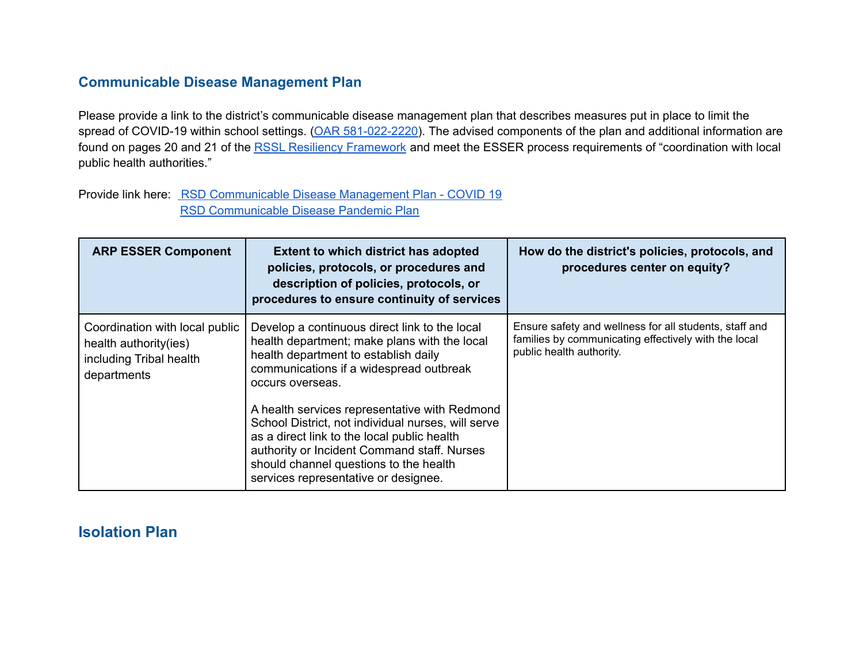#### **Communicable Disease Management Plan**

Please provide a link to the district's communicable disease management plan that describes measures put in place to limit the spread of COVID-19 within school settings. (OAR [581-022-2220\)](https://secure.sos.state.or.us/oard/viewSingleRule.action?ruleVrsnRsn=145269). The advised components of the plan and additional information are found on pages 20 and 21 of the RSSL Resiliency [Framework](https://www.oregon.gov/ode/students-and-family/healthsafety/Documents/Ready%20Schools%20Safe%20Learners%20Resiliency%20Framework%20for%20the%202021-22%20School%20Year.pdf#page=21) and meet the ESSER process requirements of "coordination with local public health authorities."

Provide link here: RSD [Communicable](https://docs.google.com/document/d/1NSztEDTqWKUZySvfIojzsrS4TbxJqUhgA659TAPBP2U/edit) Disease Management Plan - COVID 19 RSD [Communicable](https://docs.google.com/document/d/1qMRBvIQb_G_C3kTxc5u9ZbcB9sGkFaGq79EdUXnJsQQ/edit?usp=sharing) Disease Pandemic Plan

| <b>ARP ESSER Component</b>                                                                        | <b>Extent to which district has adopted</b><br>policies, protocols, or procedures and<br>description of policies, protocols, or<br>procedures to ensure continuity of services                                                                                                      | How do the district's policies, protocols, and<br>procedures center on equity?                                                             |
|---------------------------------------------------------------------------------------------------|-------------------------------------------------------------------------------------------------------------------------------------------------------------------------------------------------------------------------------------------------------------------------------------|--------------------------------------------------------------------------------------------------------------------------------------------|
| Coordination with local public<br>health authority(ies)<br>including Tribal health<br>departments | Develop a continuous direct link to the local<br>health department; make plans with the local<br>health department to establish daily<br>communications if a widespread outbreak<br>occurs overseas.                                                                                | Ensure safety and wellness for all students, staff and<br>families by communicating effectively with the local<br>public health authority. |
|                                                                                                   | A health services representative with Redmond<br>School District, not individual nurses, will serve<br>as a direct link to the local public health<br>authority or Incident Command staff. Nurses<br>should channel questions to the health<br>services representative or designee. |                                                                                                                                            |

# **Isolation Plan**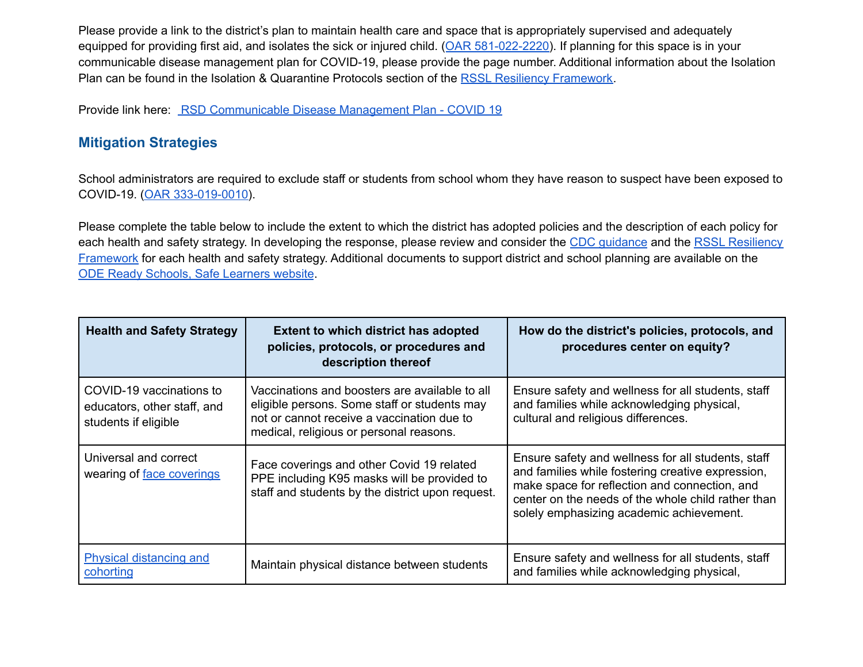Please provide a link to the district's plan to maintain health care and space that is appropriately supervised and adequately equipped for providing first aid, and isolates the sick or injured child. (OAR [581-022-2220\)](https://secure.sos.state.or.us/oard/viewSingleRule.action?ruleVrsnRsn=145269). If planning for this space is in your communicable disease management plan for COVID-19, please provide the page number. Additional information about the Isolation Plan can be found in the Isolation & Quarantine Protocols section of the RSSL Resiliency [Framework.](https://www.oregon.gov/ode/students-and-family/healthsafety/Documents/Ready%20Schools%20Safe%20Learners%20Resiliency%20Framework%20for%20the%202021-22%20School%20Year.pdf#page=22)

Provide link here: RSD [Communicable](https://docs.google.com/document/d/1NSztEDTqWKUZySvfIojzsrS4TbxJqUhgA659TAPBP2U/edit) Disease Management Plan - COVID 19

## **Mitigation Strategies**

School administrators are required to exclude staff or students from school whom they have reason to suspect have been exposed to COVID-19. (OAR [333-019-0010\)](https://secure.sos.state.or.us/oard/viewSingleRule.action?ruleVrsnRsn=272765).

Please complete the table below to include the extent to which the district has adopted policies and the description of each policy for each health and safety strategy. In developing the response, please review and consider the CDC [guidance](https://www.cdc.gov/coronavirus/2019-ncov/community/schools-childcare/k-12-guidance.html) and the RSSL [Resiliency](https://www.oregon.gov/ode/students-and-family/healthsafety/Documents/Ready%20Schools%20Safe%20Learners%20Resiliency%20Framework%20for%20the%202021-22%20School%20Year.pdf) [Framework](https://www.oregon.gov/ode/students-and-family/healthsafety/Documents/Ready%20Schools%20Safe%20Learners%20Resiliency%20Framework%20for%20the%202021-22%20School%20Year.pdf) for each health and safety strategy. Additional documents to support district and school planning are available on the ODE Ready Schools, Safe [Learners](https://www.oregon.gov/ode/students-and-family/healthsafety/Pages/Planning-for-the-2020-21-School-Year.aspx) website.

| <b>Health and Safety Strategy</b>                                               | <b>Extent to which district has adopted</b><br>policies, protocols, or procedures and<br>description thereof                                                                            | How do the district's policies, protocols, and<br>procedures center on equity?                                                                                                                                                                             |
|---------------------------------------------------------------------------------|-----------------------------------------------------------------------------------------------------------------------------------------------------------------------------------------|------------------------------------------------------------------------------------------------------------------------------------------------------------------------------------------------------------------------------------------------------------|
| COVID-19 vaccinations to<br>educators, other staff, and<br>students if eligible | Vaccinations and boosters are available to all<br>eligible persons. Some staff or students may<br>not or cannot receive a vaccination due to<br>medical, religious or personal reasons. | Ensure safety and wellness for all students, staff<br>and families while acknowledging physical,<br>cultural and religious differences.                                                                                                                    |
| Universal and correct<br>wearing of face coverings                              | Face coverings and other Covid 19 related<br>PPE including K95 masks will be provided to<br>staff and students by the district upon request.                                            | Ensure safety and wellness for all students, staff<br>and families while fostering creative expression,<br>make space for reflection and connection, and<br>center on the needs of the whole child rather than<br>solely emphasizing academic achievement. |
| <b>Physical distancing and</b><br>cohorting                                     | Maintain physical distance between students                                                                                                                                             | Ensure safety and wellness for all students, staff<br>and families while acknowledging physical,                                                                                                                                                           |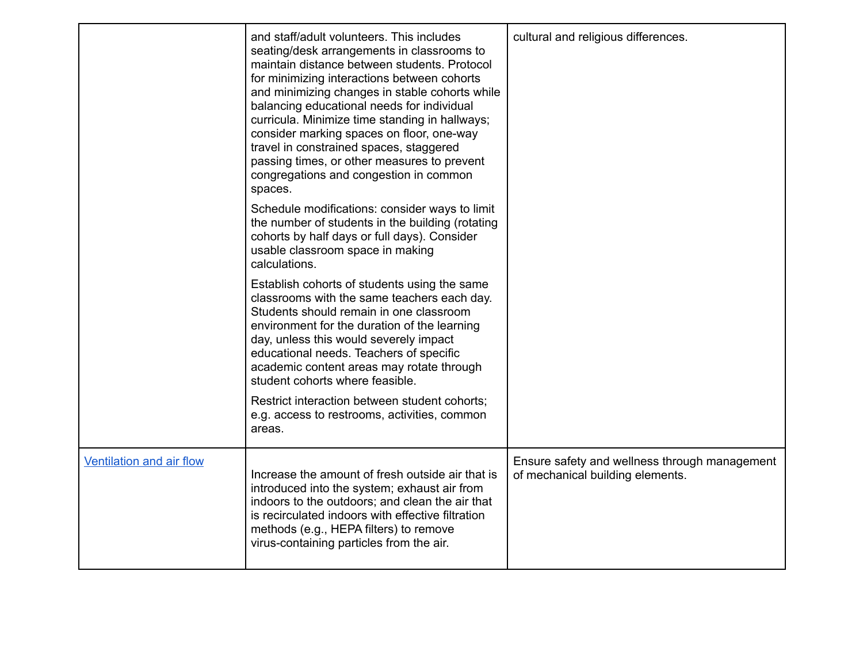|                          | and staff/adult volunteers. This includes<br>seating/desk arrangements in classrooms to<br>maintain distance between students. Protocol<br>for minimizing interactions between cohorts<br>and minimizing changes in stable cohorts while<br>balancing educational needs for individual<br>curricula. Minimize time standing in hallways;<br>consider marking spaces on floor, one-way<br>travel in constrained spaces, staggered<br>passing times, or other measures to prevent<br>congregations and congestion in common<br>spaces. | cultural and religious differences.                                               |
|--------------------------|--------------------------------------------------------------------------------------------------------------------------------------------------------------------------------------------------------------------------------------------------------------------------------------------------------------------------------------------------------------------------------------------------------------------------------------------------------------------------------------------------------------------------------------|-----------------------------------------------------------------------------------|
|                          | Schedule modifications: consider ways to limit<br>the number of students in the building (rotating<br>cohorts by half days or full days). Consider<br>usable classroom space in making<br>calculations.                                                                                                                                                                                                                                                                                                                              |                                                                                   |
|                          | Establish cohorts of students using the same<br>classrooms with the same teachers each day.<br>Students should remain in one classroom<br>environment for the duration of the learning<br>day, unless this would severely impact<br>educational needs. Teachers of specific<br>academic content areas may rotate through<br>student cohorts where feasible.                                                                                                                                                                          |                                                                                   |
|                          | Restrict interaction between student cohorts;<br>e.g. access to restrooms, activities, common<br>areas.                                                                                                                                                                                                                                                                                                                                                                                                                              |                                                                                   |
| Ventilation and air flow | Increase the amount of fresh outside air that is<br>introduced into the system; exhaust air from<br>indoors to the outdoors; and clean the air that<br>is recirculated indoors with effective filtration<br>methods (e.g., HEPA filters) to remove<br>virus-containing particles from the air.                                                                                                                                                                                                                                       | Ensure safety and wellness through management<br>of mechanical building elements. |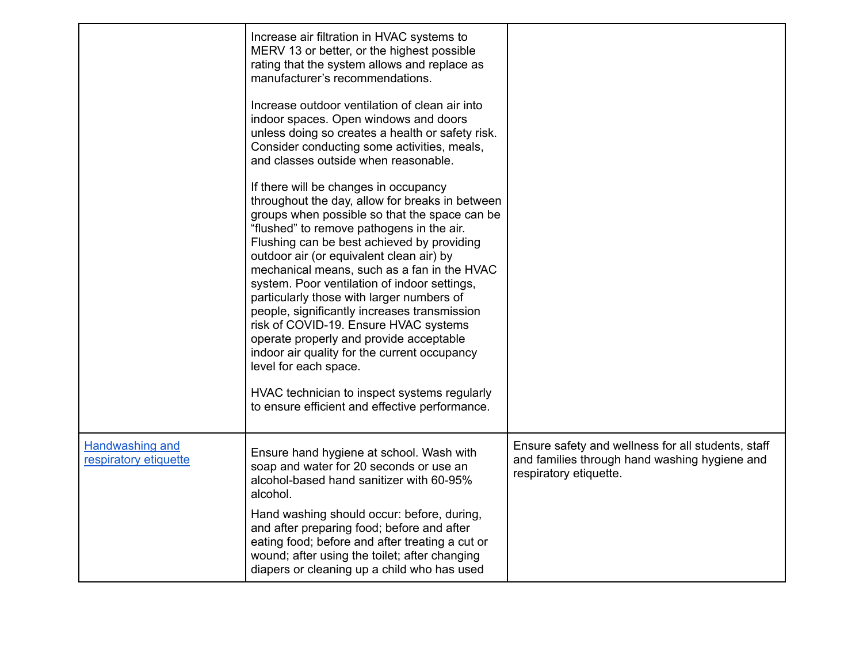|                                                 | Increase air filtration in HVAC systems to<br>MERV 13 or better, or the highest possible<br>rating that the system allows and replace as<br>manufacturer's recommendations.<br>Increase outdoor ventilation of clean air into<br>indoor spaces. Open windows and doors<br>unless doing so creates a health or safety risk.<br>Consider conducting some activities, meals,<br>and classes outside when reasonable.                                                                                                                                                                                                                                                                                                                           |                                                                                                                               |
|-------------------------------------------------|---------------------------------------------------------------------------------------------------------------------------------------------------------------------------------------------------------------------------------------------------------------------------------------------------------------------------------------------------------------------------------------------------------------------------------------------------------------------------------------------------------------------------------------------------------------------------------------------------------------------------------------------------------------------------------------------------------------------------------------------|-------------------------------------------------------------------------------------------------------------------------------|
|                                                 | If there will be changes in occupancy<br>throughout the day, allow for breaks in between<br>groups when possible so that the space can be<br>"flushed" to remove pathogens in the air.<br>Flushing can be best achieved by providing<br>outdoor air (or equivalent clean air) by<br>mechanical means, such as a fan in the HVAC<br>system. Poor ventilation of indoor settings,<br>particularly those with larger numbers of<br>people, significantly increases transmission<br>risk of COVID-19. Ensure HVAC systems<br>operate properly and provide acceptable<br>indoor air quality for the current occupancy<br>level for each space.<br>HVAC technician to inspect systems regularly<br>to ensure efficient and effective performance. |                                                                                                                               |
|                                                 |                                                                                                                                                                                                                                                                                                                                                                                                                                                                                                                                                                                                                                                                                                                                             |                                                                                                                               |
| <b>Handwashing and</b><br>respiratory etiquette | Ensure hand hygiene at school. Wash with<br>soap and water for 20 seconds or use an<br>alcohol-based hand sanitizer with 60-95%<br>alcohol.                                                                                                                                                                                                                                                                                                                                                                                                                                                                                                                                                                                                 | Ensure safety and wellness for all students, staff<br>and families through hand washing hygiene and<br>respiratory etiquette. |
|                                                 | Hand washing should occur: before, during,<br>and after preparing food; before and after<br>eating food; before and after treating a cut or<br>wound; after using the toilet; after changing<br>diapers or cleaning up a child who has used                                                                                                                                                                                                                                                                                                                                                                                                                                                                                                 |                                                                                                                               |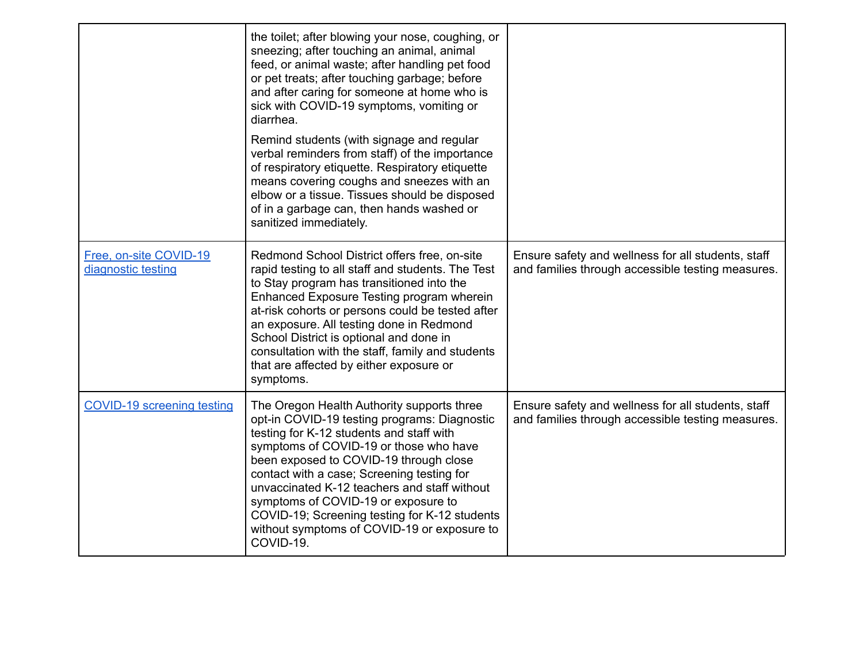|                                              | the toilet; after blowing your nose, coughing, or<br>sneezing; after touching an animal, animal<br>feed, or animal waste; after handling pet food<br>or pet treats; after touching garbage; before<br>and after caring for someone at home who is<br>sick with COVID-19 symptoms, vomiting or<br>diarrhea.<br>Remind students (with signage and regular<br>verbal reminders from staff) of the importance<br>of respiratory etiquette. Respiratory etiquette<br>means covering coughs and sneezes with an<br>elbow or a tissue. Tissues should be disposed<br>of in a garbage can, then hands washed or |                                                                                                         |
|----------------------------------------------|---------------------------------------------------------------------------------------------------------------------------------------------------------------------------------------------------------------------------------------------------------------------------------------------------------------------------------------------------------------------------------------------------------------------------------------------------------------------------------------------------------------------------------------------------------------------------------------------------------|---------------------------------------------------------------------------------------------------------|
| Free, on-site COVID-19<br>diagnostic testing | sanitized immediately.<br>Redmond School District offers free, on-site<br>rapid testing to all staff and students. The Test<br>to Stay program has transitioned into the                                                                                                                                                                                                                                                                                                                                                                                                                                | Ensure safety and wellness for all students, staff<br>and families through accessible testing measures. |
|                                              | Enhanced Exposure Testing program wherein<br>at-risk cohorts or persons could be tested after<br>an exposure. All testing done in Redmond<br>School District is optional and done in<br>consultation with the staff, family and students<br>that are affected by either exposure or<br>symptoms.                                                                                                                                                                                                                                                                                                        |                                                                                                         |
| <b>COVID-19 screening testing</b>            | The Oregon Health Authority supports three<br>opt-in COVID-19 testing programs: Diagnostic<br>testing for K-12 students and staff with<br>symptoms of COVID-19 or those who have<br>been exposed to COVID-19 through close<br>contact with a case; Screening testing for<br>unvaccinated K-12 teachers and staff without<br>symptoms of COVID-19 or exposure to<br>COVID-19; Screening testing for K-12 students<br>without symptoms of COVID-19 or exposure to<br>COVID-19.                                                                                                                            | Ensure safety and wellness for all students, staff<br>and families through accessible testing measures. |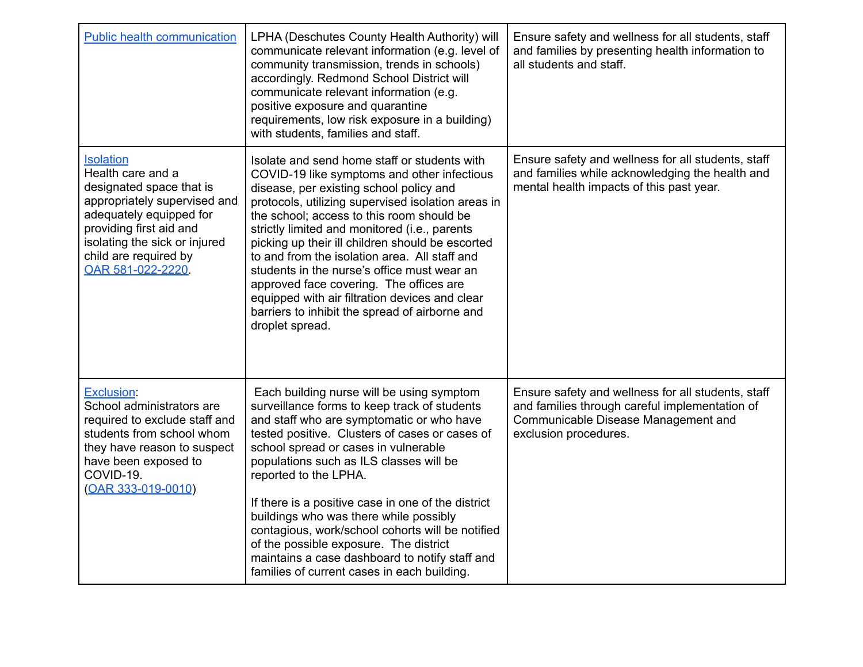| <b>Public health communication</b>                                                                                                                                                                                                    | LPHA (Deschutes County Health Authority) will<br>communicate relevant information (e.g. level of<br>community transmission, trends in schools)<br>accordingly. Redmond School District will<br>communicate relevant information (e.g.<br>positive exposure and quarantine<br>requirements, low risk exposure in a building)<br>with students, families and staff.                                                                                                                                                                                                                                                | Ensure safety and wellness for all students, staff<br>and families by presenting health information to<br>all students and staff.                                    |
|---------------------------------------------------------------------------------------------------------------------------------------------------------------------------------------------------------------------------------------|------------------------------------------------------------------------------------------------------------------------------------------------------------------------------------------------------------------------------------------------------------------------------------------------------------------------------------------------------------------------------------------------------------------------------------------------------------------------------------------------------------------------------------------------------------------------------------------------------------------|----------------------------------------------------------------------------------------------------------------------------------------------------------------------|
| <b>Isolation</b><br>Health care and a<br>designated space that is<br>appropriately supervised and<br>adequately equipped for<br>providing first aid and<br>isolating the sick or injured<br>child are required by<br>OAR 581-022-2220 | Isolate and send home staff or students with<br>COVID-19 like symptoms and other infectious<br>disease, per existing school policy and<br>protocols, utilizing supervised isolation areas in<br>the school; access to this room should be<br>strictly limited and monitored (i.e., parents<br>picking up their ill children should be escorted<br>to and from the isolation area. All staff and<br>students in the nurse's office must wear an<br>approved face covering. The offices are<br>equipped with air filtration devices and clear<br>barriers to inhibit the spread of airborne and<br>droplet spread. | Ensure safety and wellness for all students, staff<br>and families while acknowledging the health and<br>mental health impacts of this past year.                    |
| <b>Exclusion:</b><br>School administrators are<br>required to exclude staff and<br>students from school whom<br>they have reason to suspect<br>have been exposed to<br>COVID-19.<br>(OAR 333-019-0010)                                | Each building nurse will be using symptom<br>surveillance forms to keep track of students<br>and staff who are symptomatic or who have<br>tested positive. Clusters of cases or cases of<br>school spread or cases in vulnerable<br>populations such as ILS classes will be<br>reported to the LPHA.<br>If there is a positive case in one of the district<br>buildings who was there while possibly<br>contagious, work/school cohorts will be notified<br>of the possible exposure. The district<br>maintains a case dashboard to notify staff and<br>families of current cases in each building.              | Ensure safety and wellness for all students, staff<br>and families through careful implementation of<br>Communicable Disease Management and<br>exclusion procedures. |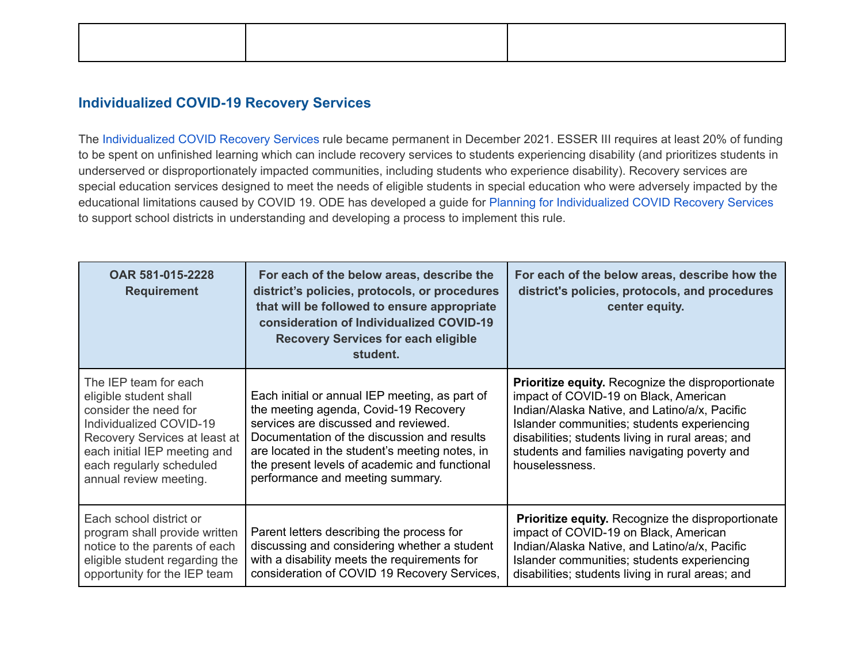### **Individualized COVID-19 Recovery Services**

The Individualized COVID Recovery Services rule became permanent in December 2021. ESSER III requires at least 20% of funding to be spent on unfinished learning which can include recovery services to students experiencing disability (and prioritizes students in underserved or disproportionately impacted communities, including students who experience disability). Recovery services are special education services designed to meet the needs of eligible students in special education who were adversely impacted by the educational limitations caused by COVID 19. ODE has developed a guide for Planning for Individualized COVID Recovery Services to support school districts in understanding and developing a process to implement this rule.

| OAR 581-015-2228<br><b>Requirement</b>                                                                                                                                                                                     | For each of the below areas, describe the<br>district's policies, protocols, or procedures<br>that will be followed to ensure appropriate<br>consideration of Individualized COVID-19<br><b>Recovery Services for each eligible</b><br>student.                                                                       | For each of the below areas, describe how the<br>district's policies, protocols, and procedures<br>center equity.                                                                                                                                                                                                        |
|----------------------------------------------------------------------------------------------------------------------------------------------------------------------------------------------------------------------------|-----------------------------------------------------------------------------------------------------------------------------------------------------------------------------------------------------------------------------------------------------------------------------------------------------------------------|--------------------------------------------------------------------------------------------------------------------------------------------------------------------------------------------------------------------------------------------------------------------------------------------------------------------------|
| The IEP team for each<br>eligible student shall<br>consider the need for<br>Individualized COVID-19<br>Recovery Services at least at<br>each initial IEP meeting and<br>each regularly scheduled<br>annual review meeting. | Each initial or annual IEP meeting, as part of<br>the meeting agenda, Covid-19 Recovery<br>services are discussed and reviewed.<br>Documentation of the discussion and results<br>are located in the student's meeting notes, in<br>the present levels of academic and functional<br>performance and meeting summary. | <b>Prioritize equity.</b> Recognize the disproportionate<br>impact of COVID-19 on Black, American<br>Indian/Alaska Native, and Latino/a/x, Pacific<br>Islander communities; students experiencing<br>disabilities; students living in rural areas; and<br>students and families navigating poverty and<br>houselessness. |
| Each school district or<br>program shall provide written<br>notice to the parents of each<br>eligible student regarding the<br>opportunity for the IEP team                                                                | Parent letters describing the process for<br>discussing and considering whether a student<br>with a disability meets the requirements for<br>consideration of COVID 19 Recovery Services,                                                                                                                             | <b>Prioritize equity.</b> Recognize the disproportionate<br>impact of COVID-19 on Black, American<br>Indian/Alaska Native, and Latino/a/x, Pacific<br>Islander communities; students experiencing<br>disabilities; students living in rural areas; and                                                                   |